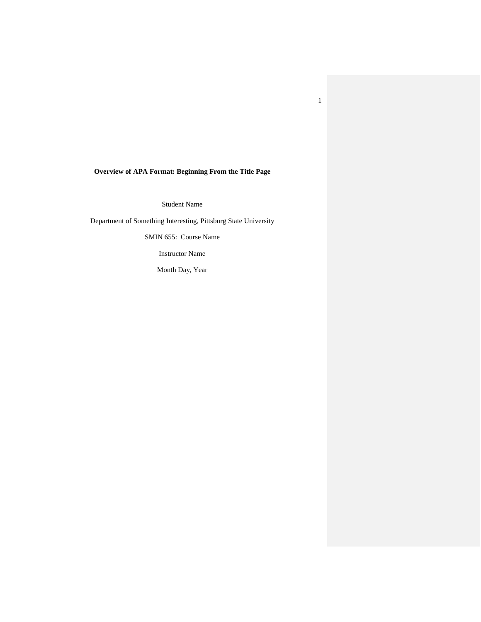# **Overview of APA Format: Beginning From the Title Page**

Student Name

Department of Something Interesting, Pittsburg State University

SMIN 655: Course Name

Instructor Name

Month Day, Year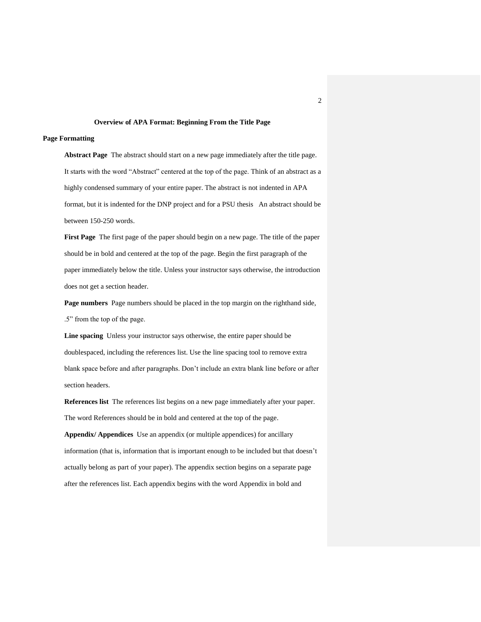#### **Overview of APA Format: Beginning From the Title Page**

**Page Formatting**

**Abstract Page** The abstract should start on a new page immediately after the title page. It starts with the word "Abstract" centered at the top of the page. Think of an abstract as a highly condensed summary of your entire paper. The abstract is not indented in APA format, but it is indented for the DNP project and for a PSU thesis An abstract should be between 150-250 words.

**First Page** The first page of the paper should begin on a new page. The title of the paper should be in bold and centered at the top of the page. Begin the first paragraph of the paper immediately below the title. Unless your instructor says otherwise, the introduction does not get a section header.

**Page numbers** Page numbers should be placed in the top margin on the righthand side, .5" from the top of the page.

**Line spacing** Unless your instructor says otherwise, the entire paper should be doublespaced, including the references list. Use the line spacing tool to remove extra blank space before and after paragraphs. Don't include an extra blank line before or after section headers.

**References list** The references list begins on a new page immediately after your paper. The word References should be in bold and centered at the top of the page.

**Appendix/ Appendices** Use an appendix (or multiple appendices) for ancillary information (that is, information that is important enough to be included but that doesn't actually belong as part of your paper). The appendix section begins on a separate page after the references list. Each appendix begins with the word Appendix in bold and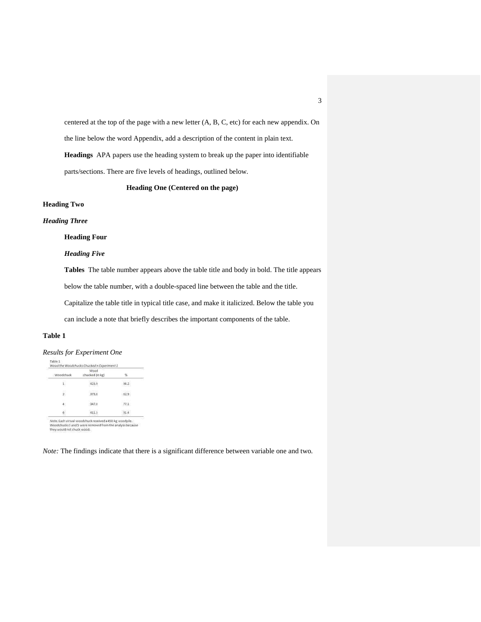centered at the top of the page with a new letter (A, B, C, etc) for each new appendix. On the line below the word Appendix, add a description of the content in plain text. **Headings** APA papers use the heading system to break up the paper into identifiable parts/sections. There are five levels of headings, outlined below.

# **Heading One (Centered on the page)**

# **Heading Two**

# *Heading Three*

**Heading Four**

*Heading Five*

**Tables** The table number appears above the table title and body in bold. The title appears

below the table number, with a double-spaced line between the table and the title.

Capitalize the table title in typical title case, and make it italicized. Below the table you

can include a note that briefly describes the important components of the table.

### **Table 1**

#### *Results for Experiment One*

|                  | Wood            |      |
|------------------|-----------------|------|
| <b>Woodchuck</b> | chucked (in kg) | 96   |
| i.               | 423.9           | 94.2 |
| 7                | 373.0           | 82.9 |
| 4.               | 347.0           | 77.1 |
| ò.               | 411.3           | 91.4 |

wore, each within woodcritics received a sor-sg woodpie.<br>Woodchucks 3 and 5 were removed from the analysis because<br>they would not chuck wood.

*Note:* The findings indicate that there is a significant difference between variable one and two.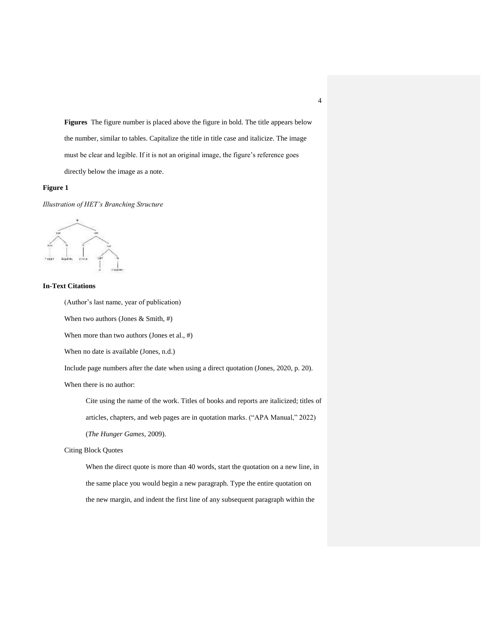**Figures** The figure number is placed above the figure in bold. The title appears below the number, similar to tables. Capitalize the title in title case and italicize. The image must be clear and legible. If it is not an original image, the figure's reference goes directly below the image as a note.

# **Figure 1**

*Illustration of HET's Branching Structure*



# **In-Text Citations**

(Author's last name, year of publication)

When two authors (Jones  $& Smith, #$ )

When more than two authors (Jones et al., #)

When no date is available (Jones, n.d.)

Include page numbers after the date when using a direct quotation (Jones, 2020, p. 20).

When there is no author:

Cite using the name of the work. Titles of books and reports are italicized; titles of articles, chapters, and web pages are in quotation marks. ("APA Manual," 2022) (*The Hunger Games,* 2009).

#### Citing Block Quotes

When the direct quote is more than 40 words, start the quotation on a new line, in the same place you would begin a new paragraph. Type the entire quotation on the new margin, and indent the first line of any subsequent paragraph within the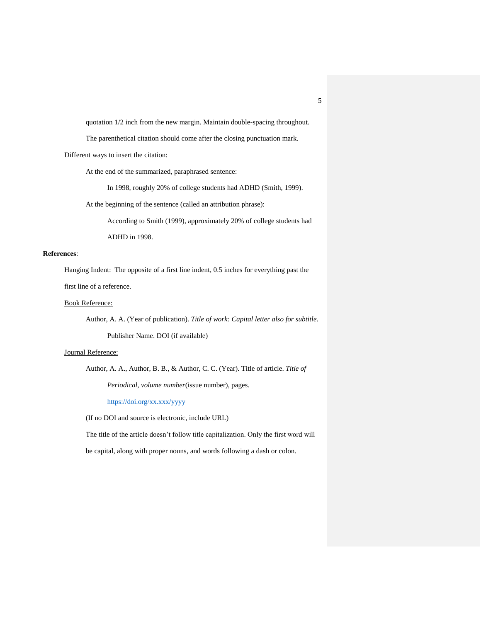quotation 1/2 inch from the new margin. Maintain double-spacing throughout.

The parenthetical citation should come after the closing punctuation mark.

Different ways to insert the citation:

At the end of the summarized, paraphrased sentence:

In 1998, roughly 20% of college students had ADHD (Smith, 1999).

At the beginning of the sentence (called an attribution phrase):

According to Smith (1999), approximately 20% of college students had ADHD in 1998.

#### **References**:

Hanging Indent: The opposite of a first line indent, 0.5 inches for everything past the

first line of a reference.

# Book Reference:

Author, A. A. (Year of publication). *Title of work: Capital letter also for subtitle.*

Publisher Name. DOI (if available)

# Journal Reference:

Author, A. A., Author, B. B., & Author, C. C. (Year). Title of article. *Title of* 

*Periodical*, *volume number*(issue number), pages.

<https://doi.org/xx.xxx/yyyy>

(If no DOI and source is electronic, include URL)

The title of the article doesn't follow title capitalization. Only the first word will

be capital, along with proper nouns, and words following a dash or colon.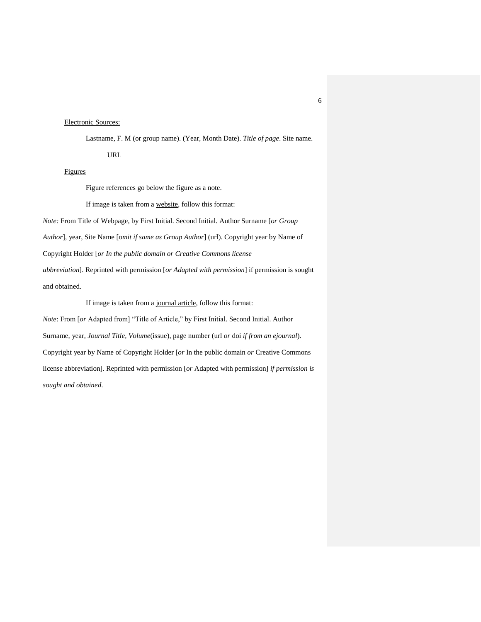### Electronic Sources:

Lastname, F. M (or group name). (Year, Month Date). *Title of page*. Site name. URL

#### Figures

Figure references go below the figure as a note.

If image is taken from a website, follow this format:

*Note:* From Title of Webpage, by First Initial. Second Initial. Author Surname [*or Group* 

*Author*], year, Site Name [*omit if same as Group Author*] (url). Copyright year by Name of

Copyright Holder [*or In the public domain or Creative Commons license* 

*abbreviation*]. Reprinted with permission [*or Adapted with permission*] if permission is sought and obtained.

If image is taken from a journal article, follow this format:

*Note*: From [*or* Adapted from] "Title of Article," by First Initial. Second Initial. Author Surname, year, *Journal Title, Volume*(issue), page number (url *or* doi *if from an ejournal*). Copyright year by Name of Copyright Holder [*or* In the public domain *or* Creative Commons license abbreviation]. Reprinted with permission [*or* Adapted with permission] *if permission is sought and obtained*.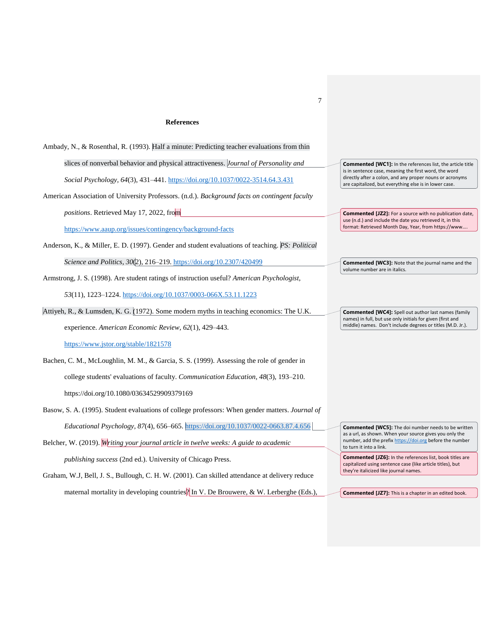# **References**

| Ambady, N., & Rosenthal, R. (1993). Half a minute: Predicting teacher evaluations from thin                                                      |                                                                                                                                                |  |  |  |
|--------------------------------------------------------------------------------------------------------------------------------------------------|------------------------------------------------------------------------------------------------------------------------------------------------|--|--|--|
| slices of nonverbal behavior and physical attractiveness. Journal of Personality and                                                             | <b>Commented [WC1]:</b> In the references list, the article title<br>is in sentence case, meaning the first word, the word                     |  |  |  |
| Social Psychology, 64(3), 431-441. https://doi.org/10.1037/0022-3514.64.3.431                                                                    | directly after a colon, and any proper nouns or acronyms<br>are capitalized, but everything else is in lower case.                             |  |  |  |
| American Association of University Professors. (n.d.). Background facts on contingent faculty                                                    |                                                                                                                                                |  |  |  |
| positions. Retrieved May 17, 2022, from                                                                                                          | <b>Commented [JZ2]:</b> For a source with no publication date,<br>use (n.d.) and include the date you retrieved it, in this                    |  |  |  |
| https://www.aaup.org/issues/contingency/background-facts                                                                                         | format: Retrieved Month Day, Year, from https://www                                                                                            |  |  |  |
| Anderson, K., & Miller, E. D. (1997). Gender and student evaluations of teaching. PS: Political                                                  |                                                                                                                                                |  |  |  |
| Science and Politics, 30(2), 216-219. https://doi.org/10.2307/420499                                                                             | <b>Commented [WC3]: Note that the journal name and the</b><br>volume number are in italics.                                                    |  |  |  |
| Armstrong, J. S. (1998). Are student ratings of instruction useful? American Psychologist,                                                       |                                                                                                                                                |  |  |  |
| 53(11), 1223-1224. https://doi.org/10.1037/0003-066X.53.11.1223                                                                                  |                                                                                                                                                |  |  |  |
| Attiyeh, R., & Lumsden, K. G. (1972). Some modern myths in teaching economics: The U.K.                                                          | <b>Commented [WC4]:</b> Spell out author last names (family<br>names) in full, but use only initials for given (first and                      |  |  |  |
| experience. American Economic Review, 62(1), 429-443.                                                                                            | middle) names. Don't include degrees or titles (M.D. Jr.).                                                                                     |  |  |  |
| https://www.jstor.org/stable/1821578                                                                                                             |                                                                                                                                                |  |  |  |
| Bachen, C. M., McLoughlin, M. M., & Garcia, S. S. (1999). Assessing the role of gender in                                                        |                                                                                                                                                |  |  |  |
| college students' evaluations of faculty. Communication Education, 48(3), 193-210.                                                               |                                                                                                                                                |  |  |  |
| https://doi.org/10.1080/03634529909379169                                                                                                        |                                                                                                                                                |  |  |  |
| Basow, S. A. (1995). Student evaluations of college professors: When gender matters. Journal of                                                  |                                                                                                                                                |  |  |  |
| Educational Psychology, 87(4), 656-665. https://doi.org/10.1037/0022-0663.87.4.656<br><b>Commented [WC5]:</b> The doi number needs to be written |                                                                                                                                                |  |  |  |
| Belcher, W. (2019). Writing your journal article in twelve weeks: A guide to academic                                                            | as a url, as shown. When your source gives you only the<br>number, add the prefix https://doi.org before the number<br>to turn it into a link. |  |  |  |
| <i>publishing success</i> (2nd ed.). University of Chicago Press.                                                                                | <b>Commented [JZ6]:</b> In the references list, book titles are<br>capitalized using sentence case (like article titles), but                  |  |  |  |
| Graham, W.J, Bell, J. S., Bullough, C. H. W. (2001). Can skilled attendance at delivery reduce                                                   | they're italicized like journal names.                                                                                                         |  |  |  |
| maternal mortality in developing countries <sup>?</sup> In V. De Brouwere, & W. Lerberghe (Eds.),                                                | <b>Commented [JZ7]:</b> This is a chapter in an edited book.                                                                                   |  |  |  |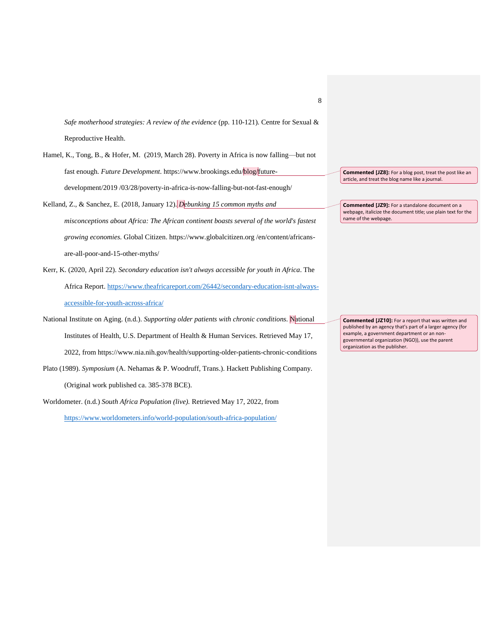*Safe motherhood strategies: A review of the evidence* (pp. 110-121). Centre for Sexual & Reproductive Health.

- Hamel, K., Tong, B., & Hofer, M. (2019, March 28). Poverty in Africa is now falling—but not fast enough*. Future Development*. https://www.brookings.edu/blog/futuredevelopment/2019 /03/28/poverty-in-africa-is-now-falling-but-not-fast-enough/
- Kelland, Z., & Sanchez, E. (2018, January 12). *Debunking 15 common myths and misconceptions about Africa: The African continent boasts several of the world's fastest growing economies.* Global Citizen. https://www.globalcitizen.org /en/content/africansare-all-poor-and-15-other-myths/
- Kerr, K. (2020, April 22). *Secondary education isn't always accessible for youth in Africa*. The Africa Report. [https://www.theafricareport.com/26442/secondary-education-isnt-always](https://www.theafricareport.com/26442/secondary-education-isnt-always-accessible-for-youth-across-africa/)[accessible-for-youth-across-africa/](https://www.theafricareport.com/26442/secondary-education-isnt-always-accessible-for-youth-across-africa/)
- National Institute on Aging. (n.d.). *Supporting older patients with chronic conditions.* National Institutes of Health, U.S. Department of Health & Human Services. Retrieved May 17, 2022, from https://www.nia.nih.gov/health/supporting-older-patients-chronic-conditions
- Plato (1989). *Symposium* (A. Nehamas & P. Woodruff, Trans.). Hackett Publishing Company. (Original work published ca. 385-378 BCE).
- Worldometer. (n.d.) *South Africa Population (live).* Retrieved May 17, 2022, from <https://www.worldometers.info/world-population/south-africa-population/>

**Commented [JZ8]:** For a blog post, treat the post like an article, and treat the blog name like a journal.

**Commented [JZ9]:** For a standalone document on a webpage, italicize the document title; use plain text for the name of the webpage.

**Commented [JZ10]:** For a report that was written and published by an agency that's part of a larger agency (for example, a government department or an nongovernmental organization (NGO)), use the parent organization as the publisher.